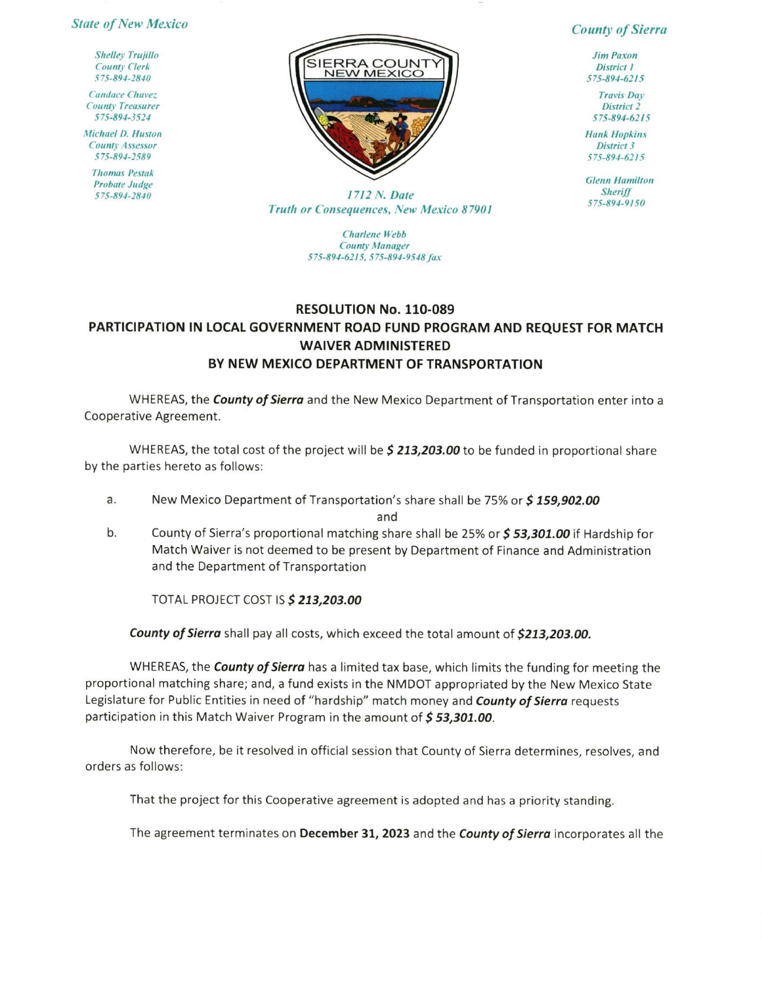## **State of New Mexico**

**Shelley Trujillo County Clerk** 575-894-2840

**Candace Chavez County Treasurer** 575-894-3524

**Michael D. Huston County Assessor** 575-894-2589

> **Thomas Pestak Probate Judge** 575-894-2840



**County of Sierra** 

**Jim Paxon District 1** 575-894-6215

**Travis Day** District<sub>2</sub> 575-894-6215

**Hank Hopkins District 3** 575-894-6215

**Glenn Hamilton Sheriff** 575-894-9150

1712 N. Date Truth or Consequences, New Mexico 87901

> **Charlene** Webb **County Manager** 575-894-6215, 575-894-9548 fax

## **RESOLUTION No. 110-089** PARTICIPATION IN LOCAL GOVERNMENT ROAD FUND PROGRAM AND REQUEST FOR MATCH **WAIVER ADMINISTERED** BY NEW MEXICO DEPARTMENT OF TRANSPORTATION

WHEREAS, the **County of Sierra** and the New Mexico Department of Transportation enter into a Cooperative Agreement.

WHEREAS, the total cost of the project will be \$ 213,203.00 to be funded in proportional share by the parties hereto as follows:

New Mexico Department of Transportation's share shall be 75% or \$159,902.00 a.

and

 $b.$ County of Sierra's proportional matching share shall be 25% or \$53,301.00 if Hardship for Match Waiver is not deemed to be present by Department of Finance and Administration and the Department of Transportation

TOTAL PROJECT COST IS \$ 213,203.00

County of Sierra shall pay all costs, which exceed the total amount of \$213,203.00.

WHEREAS, the **County of Sierra** has a limited tax base, which limits the funding for meeting the proportional matching share; and, a fund exists in the NMDOT appropriated by the New Mexico State Legislature for Public Entities in need of "hardship" match money and County of Sierra requests participation in this Match Waiver Program in the amount of \$53,301.00.

Now therefore, be it resolved in official session that County of Sierra determines, resolves, and orders as follows:

That the project for this Cooperative agreement is adopted and has a priority standing.

The agreement terminates on December 31, 2023 and the County of Sierra incorporates all the